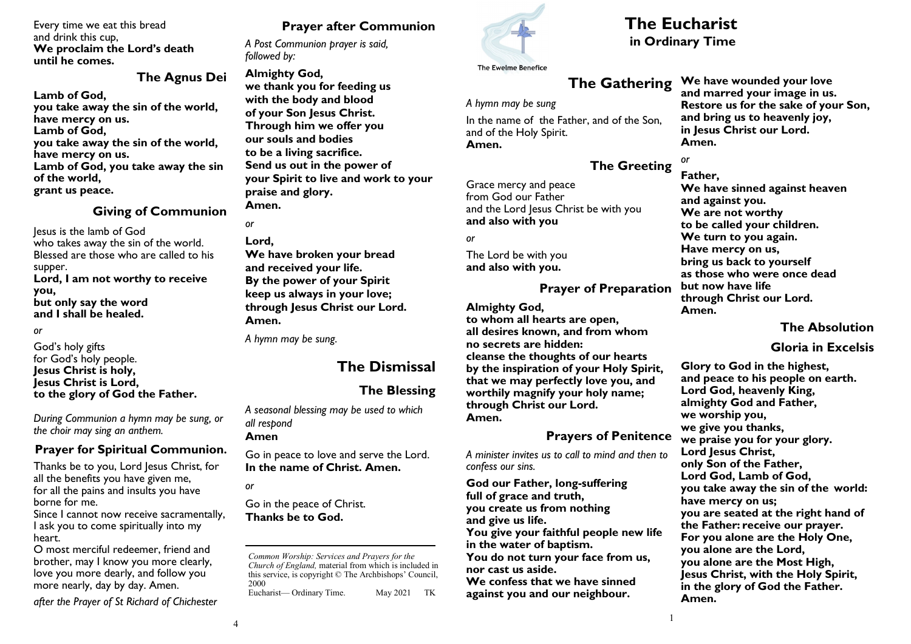#### Every time we eat this bread and drink this cup, **We proclaim the Lord's death until he comes.**

### **The Agnus Dei**

**Lamb of God, you take away the sin of the world, have mercy on us. Lamb of God, you take away the sin of the world, have mercy on us. Lamb of God, you take away the sin of the world, grant us peace.**

#### **Giving of Communion**

Jesus is the lamb of God who takes away the sin of the world. Blessed are those who are called to his supper. **Lord, I am not worthy to receive you, but only say the word and I shall be healed.**

#### *or*

God's holy gifts for God's holy people. **Jesus Christ is holy, Jesus Christ is Lord, to the glory of God the Father.**

*During Communion a hymn may be sung, or the choir may sing an anthem.*

### **Prayer for Spiritual Communion.**

Thanks be to you, Lord Jesus Christ, for all the benefits you have given me, for all the pains and insults you have borne for me.

Since I cannot now receive sacramentally, I ask you to come spiritually into my heart.

O most merciful redeemer, friend and brother, may I know you more clearly, love you more dearly, and follow you more nearly, day by day. Amen.

*after the Prayer of St Richard of Chichester* 

# **Prayer after Communion**

*A Post Communion prayer is said, followed by:*

### **Almighty God, we thank you for feeding us with the body and blood of your Son Jesus Christ. Through him we offer you our souls and bodies to be a living sacrifice. Send us out in the power of your Spirit to live and work to your praise and glory.**

**Amen.**

### *or* **Lord, We have broken your bread and received your life. By the power of your Spirit keep us always in your love; through Jesus Christ our Lord. Amen.**

*A hymn may be sung.*

# **The Dismissal**

# **The Blessing**

*A seasonal blessing may be used to which all respond*

**Amen**

Go in peace to love and serve the Lord. **In the name of Christ. Amen.**

*or*

Go in the peace of Christ. **Thanks be to God.**

*Common Worship: Services and Prayers for the Church of England,* material from which is included in this service, is copyright © The Archbishops' Council, 2000 Eucharist— Ordinary Time. May 2021 TK



# **The Eucharist**

**in Ordinary Time**

# **The Gathering**

*A hymn may be sung*

In the name of the Father, and of the Son, and of the Holy Spirit. **Amen.**

# **The Greeting**

Grace mercy and peace from God our Father and the Lord Jesus Christ be with you **and also with you**

*or*

The Lord be with you **and also with you.**

# **Prayer of Preparation**

**Almighty God,**

**to whom all hearts are open, all desires known, and from whom no secrets are hidden: cleanse the thoughts of our hearts by the inspiration of your Holy Spirit, that we may perfectly love you, and worthily magnify your holy name; through Christ our Lord. Amen.**

# **Prayers of Penitence**

*A minister invites us to call to mind and then to confess our sins.*

**God our Father, long-suffering full of grace and truth, you create us from nothing and give us life. You give your faithful people new life in the water of baptism. You do not turn your face from us, nor cast us aside. We confess that we have sinned against you and our neighbour.**

**We have wounded your love and marred your image in us. Restore us for the sake of your Son, and bring us to heavenly joy, in Jesus Christ our Lord. Amen.**

*or* **Father,**

**We have sinned against heaven and against you. We are not worthy to be called your children. We turn to you again. Have mercy on us, bring us back to yourself as those who were once dead but now have life through Christ our Lord. Amen.** 

# **The Absolution**

## **Gloria in Excelsis**

**Glory to God in the highest, and peace to his people on earth. Lord God, heavenly King, almighty God and Father, we worship you, we give you thanks, we praise you for your glory. Lord Jesus Christ, only Son of the Father, Lord God, Lamb of God, you take away the sin of the world: have mercy on us; you are seated at the right hand of the Father: receive our prayer. For you alone are the Holy One, you alone are the Lord, you alone are the Most High, Jesus Christ, with the Holy Spirit, in the glory of God the Father. Amen.**

1